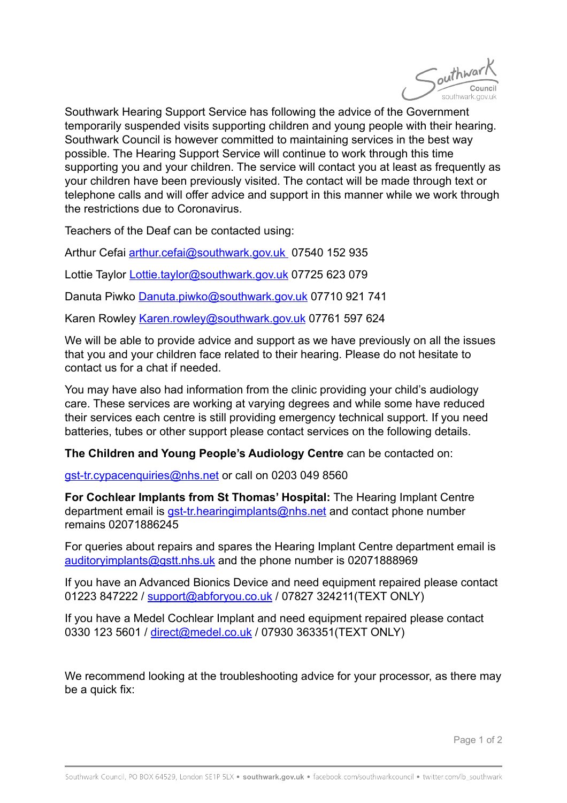

Southwark Hearing Support Service has following the advice of the Government temporarily suspended visits supporting children and young people with their hearing. Southwark Council is however committed to maintaining services in the best way possible. The Hearing Support Service will continue to work through this time supporting you and your children. The service will contact you at least as frequently as your children have been previously visited. The contact will be made through text or telephone calls and will offer advice and support in this manner while we work through the restrictions due to Coronavirus.

Teachers of the Deaf can be contacted using:

Arthur Cefai [arthur.cefai@southwark.gov.uk](mailto:arthur.cefai@southwark.gov.uk) 07540 152 935

Lottie Taylor [Lottie.taylor@southwark.gov.uk](mailto:Lottie.taylor@southwark.gov.uk) 07725 623 079

Danuta Piwko [Danuta.piwko@southwark.gov.uk](mailto:Danuta.piwko@southwark.gov.uk) 07710 921 741

Karen Rowley [Karen.rowley@southwark.gov.uk](mailto:Karen.rowley@southwark.gov.uk) 07761 597 624

We will be able to provide advice and support as we have previously on all the issues that you and your children face related to their hearing. Please do not hesitate to contact us for a chat if needed.

You may have also had information from the clinic providing your child's audiology care. These services are working at varying degrees and while some have reduced their services each centre is still providing emergency technical support. If you need batteries, tubes or other support please contact services on the following details.

**The Children and Young People's Audiology Centre** can be contacted on:

[gst-tr.cypacenquiries@nhs.net](mailto:gst-tr.cypacenquiries@nhs.net) or call on 0203 049 8560

**For Cochlear Implants from St Thomas' Hospital:** The Hearing Implant Centre department email is [gst-tr.hearingimplants@nhs.net](mailto:gst-tr.hearingimplants@nhs.net) and contact phone number remains 02071886245

For queries about repairs and spares the Hearing Implant Centre department email is [auditoryimplants@gstt.nhs.uk](mailto:auditoryimplants@gstt.nhs.uk) and the phone number is 02071888969

If you have an Advanced Bionics Device and need equipment repaired please contact 01223 847222 / [support@abforyou.co.uk](mailto:support@abforyou.co.uk) / 07827 324211(TEXT ONLY)

If you have a Medel Cochlear Implant and need equipment repaired please contact 0330 123 5601 / [direct@medel.co.uk](mailto:direct@medel.co.uk) / 07930 363351(TEXT ONLY)

We recommend looking at the troubleshooting advice for your processor, as there may be a quick fix:

Page 1 of 2